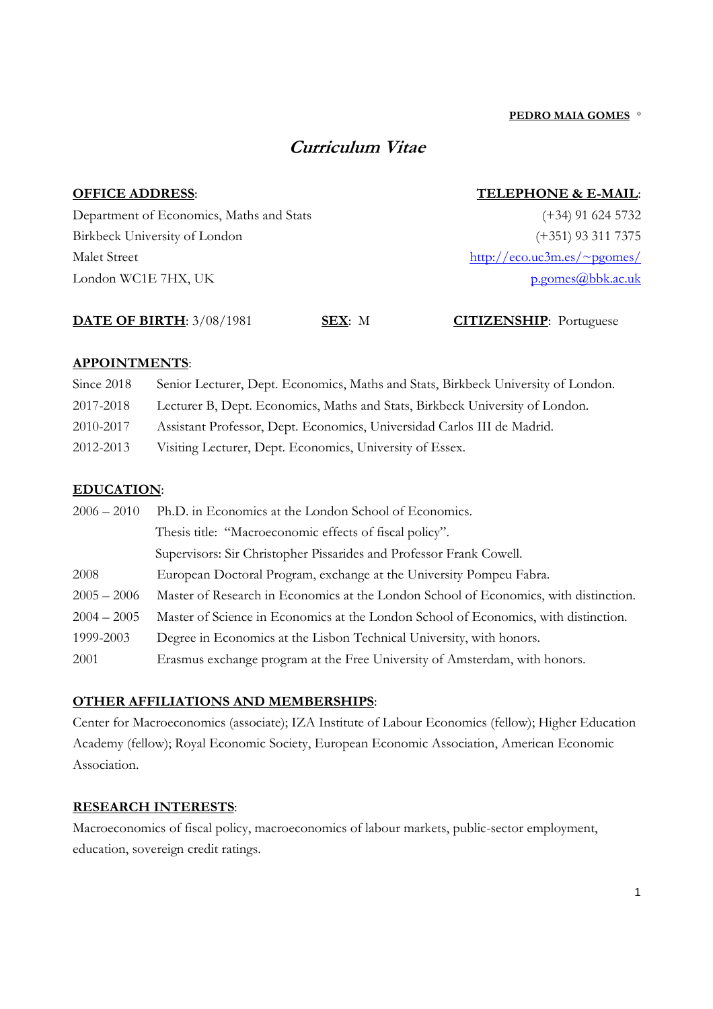(+34) 91 624 5732 (+351) 93 311 7375

p.gomes@bbk.ac.uk

# **Curriculum Vitae**

# **OFFICE ADDRESS**:

# **TELEPHONE & E-MAIL**:

http://eco.uc3m.es/~pgomes/

Department of Economics, Maths and Stats Birkbeck University of London Malet Street London WC1E 7HX, UK

# **DATE OF BIRTH**: 3/08/1981 **SEX**: M **CITIZENSHIP**: Portuguese

# **APPOINTMENTS**:

| Since 2018 | Senior Lecturer, Dept. Economics, Maths and Stats, Birkbeck University of London. |
|------------|-----------------------------------------------------------------------------------|
| 2017-2018  | Lecturer B, Dept. Economics, Maths and Stats, Birkbeck University of London.      |
| 2010-2017  | Assistant Professor, Dept. Economics, Universidad Carlos III de Madrid.           |
| 2012-2013  | Visiting Lecturer, Dept. Economics, University of Essex.                          |

# **EDUCATION**:

| $2006 - 2010$ | Ph.D. in Economics at the London School of Economics.                                |
|---------------|--------------------------------------------------------------------------------------|
|               | Thesis title: "Macroeconomic effects of fiscal policy".                              |
|               | Supervisors: Sir Christopher Pissarides and Professor Frank Cowell.                  |
| 2008          | European Doctoral Program, exchange at the University Pompeu Fabra.                  |
| $2005 - 2006$ | Master of Research in Economics at the London School of Economics, with distinction. |
| $2004 - 2005$ | Master of Science in Economics at the London School of Economics, with distinction.  |
| 1999-2003     | Degree in Economics at the Lisbon Technical University, with honors.                 |
| 2001          | Erasmus exchange program at the Free University of Amsterdam, with honors.           |

# **OTHER AFFILIATIONS AND MEMBERSHIPS**:

Center for Macroeconomics (associate); IZA Institute of Labour Economics (fellow); Higher Education Academy (fellow); Royal Economic Society, European Economic Association, American Economic Association.

#### **RESEARCH INTERESTS**:

Macroeconomics of fiscal policy, macroeconomics of labour markets, public-sector employment, education, sovereign credit ratings.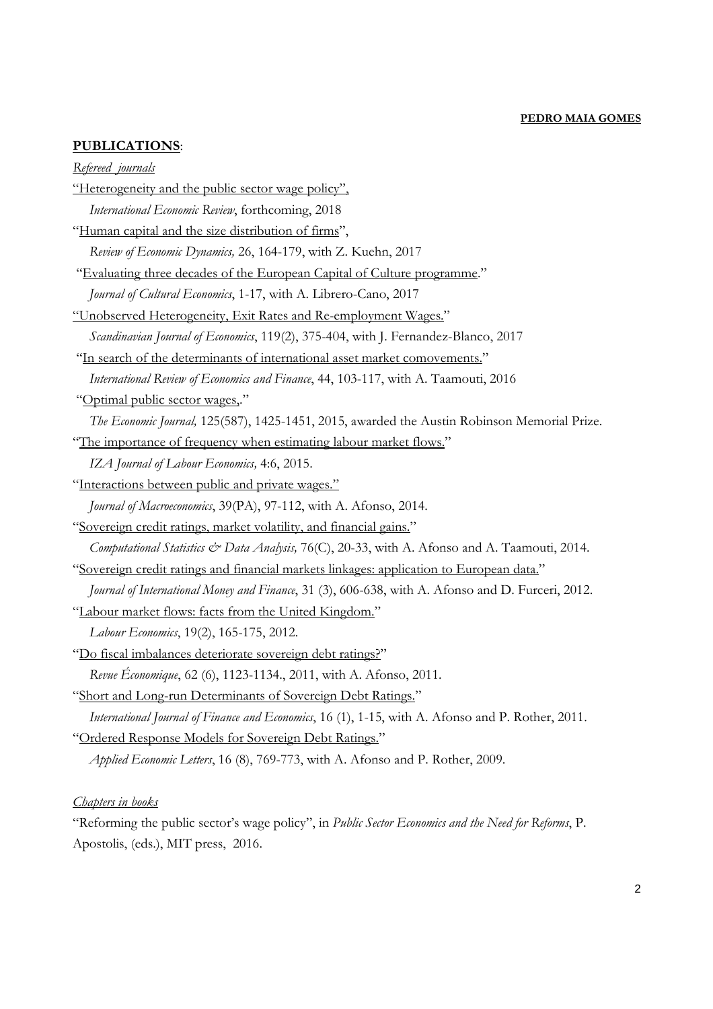# **PUBLICATIONS**:

#### *Refereed journals*

"Heterogeneity and the public sector wage policy", *International Economic Review*, forthcoming, 2018 "Human capital and the size distribution of firms", *Review of Economic Dynamics,* 26, 164-179, with Z. Kuehn, 2017 "Evaluating three decades of the European Capital of Culture programme." *Journal of Cultural Economics*, 1-17, with A. Librero-Cano, 2017 "Unobserved Heterogeneity, Exit Rates and Re-employment Wages." *Scandinavian Journal of Economics*, 119(2), 375-404, with J. Fernandez-Blanco, 2017 "In search of the determinants of international asset market comovements." *International Review of Economics and Finance*, 44, 103-117, with A. Taamouti, 2016 "Optimal public sector wages,." *The Economic Journal,* 125(587), 1425-1451, 2015, awarded the Austin Robinson Memorial Prize. "The importance of frequency when estimating labour market flows." *IZA Journal of Labour Economics,* 4:6, 2015. "Interactions between public and private wages." *Journal of Macroeconomics*, 39(PA), 97-112, with A. Afonso, 2014. "Sovereign credit ratings, market volatility, and financial gains." *Computational Statistics & Data Analysis,* 76(C), 20-33, with A. Afonso and A. Taamouti, 2014. "Sovereign credit ratings and financial markets linkages: application to European data." *Journal of International Money and Finance*, 31 (3), 606-638, with A. Afonso and D. Furceri, 2012. "Labour market flows: facts from the United Kingdom." *Labour Economics*, 19(2), 165-175, 2012. "Do fiscal imbalances deteriorate sovereign debt ratings?" *Revue Économique*, 62 (6), 1123-1134., 2011, with A. Afonso, 2011. "Short and Long-run Determinants of Sovereign Debt Ratings." *International Journal of Finance and Economics*, 16 (1), 1-15, with A. Afonso and P. Rother, 2011. "Ordered Response Models for Sovereign Debt Ratings." *Applied Economic Letters*, 16 (8), 769-773, with A. Afonso and P. Rother, 2009.

#### *Chapters in books*

"Reforming the public sector's wage policy", in *Public Sector Economics and the Need for Reforms*, P. Apostolis, (eds.), MIT press, 2016.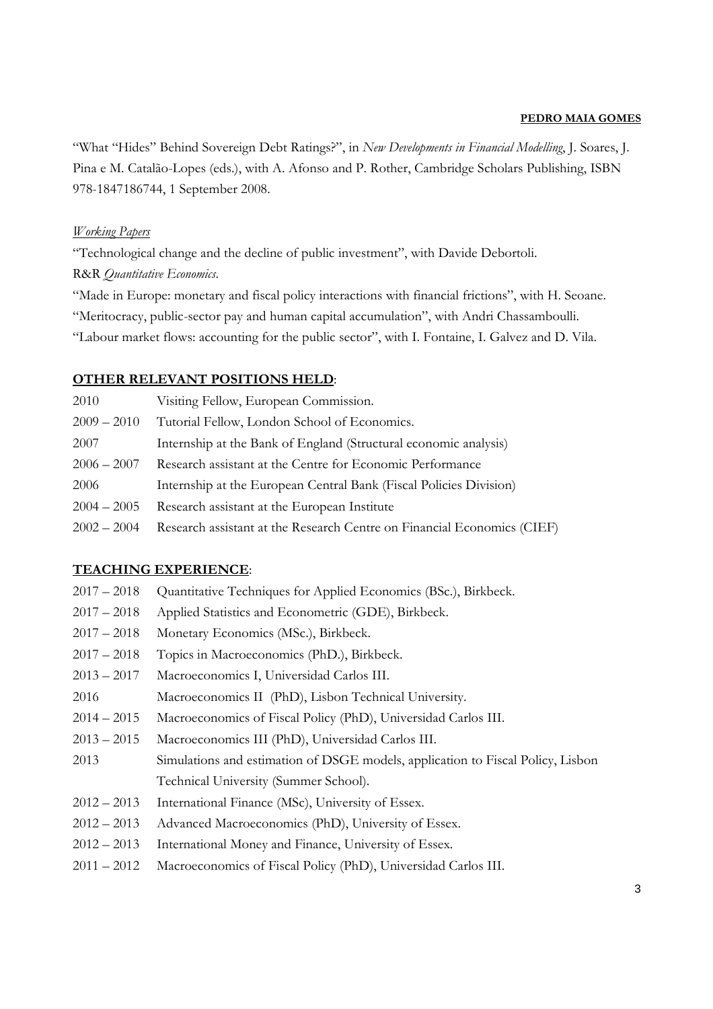"What "Hides" Behind Sovereign Debt Ratings?", in *New Developments in Financial Modelling*, J. Soares, J. Pina e M. Catalão-Lopes (eds.), with A. Afonso and P. Rother, Cambridge Scholars Publishing, ISBN 978-1847186744, 1 September 2008.

# *Working Papers*

"Technological change and the decline of public investment", with Davide Debortoli.

# R&R *Quantitative Economics*.

"Made in Europe: monetary and fiscal policy interactions with financial frictions", with H. Seoane. "Meritocracy, public-sector pay and human capital accumulation", with Andri Chassamboulli. "Labour market flows: accounting for the public sector", with I. Fontaine, I. Galvez and D. Vila.

# **OTHER RELEVANT POSITIONS HELD**:

| Visiting Fellow, European Commission.                                   |
|-------------------------------------------------------------------------|
| Tutorial Fellow, London School of Economics.                            |
| Internship at the Bank of England (Structural economic analysis)        |
| Research assistant at the Centre for Economic Performance               |
| Internship at the European Central Bank (Fiscal Policies Division)      |
| Research assistant at the European Institute                            |
| Research assistant at the Research Centre on Financial Economics (CIEF) |
|                                                                         |

# **TEACHING EXPERIENCE**:

| $2017 - 2018$ | Quantitative Techniques for Applied Economics (BSc.), Birkbeck.                 |
|---------------|---------------------------------------------------------------------------------|
| $2017 - 2018$ | Applied Statistics and Econometric (GDE), Birkbeck.                             |
| $2017 - 2018$ | Monetary Economics (MSc.), Birkbeck.                                            |
| $2017 - 2018$ | Topics in Macroeconomics (PhD.), Birkbeck.                                      |
| $2013 - 2017$ | Macroeconomics I, Universidad Carlos III.                                       |
| 2016          | Macroeconomics II (PhD), Lisbon Technical University.                           |
| $2014 - 2015$ | Macroeconomics of Fiscal Policy (PhD), Universidad Carlos III.                  |
| $2013 - 2015$ | Macroeconomics III (PhD), Universidad Carlos III.                               |
| 2013          | Simulations and estimation of DSGE models, application to Fiscal Policy, Lisbon |
|               | Technical University (Summer School).                                           |
| $2012 - 2013$ | International Finance (MSc), University of Essex.                               |
| $2012 - 2013$ | Advanced Macroeconomics (PhD), University of Essex.                             |
| $2012 - 2013$ | International Money and Finance, University of Essex.                           |
| $2011 - 2012$ | Macroeconomics of Fiscal Policy (PhD), Universidad Carlos III.                  |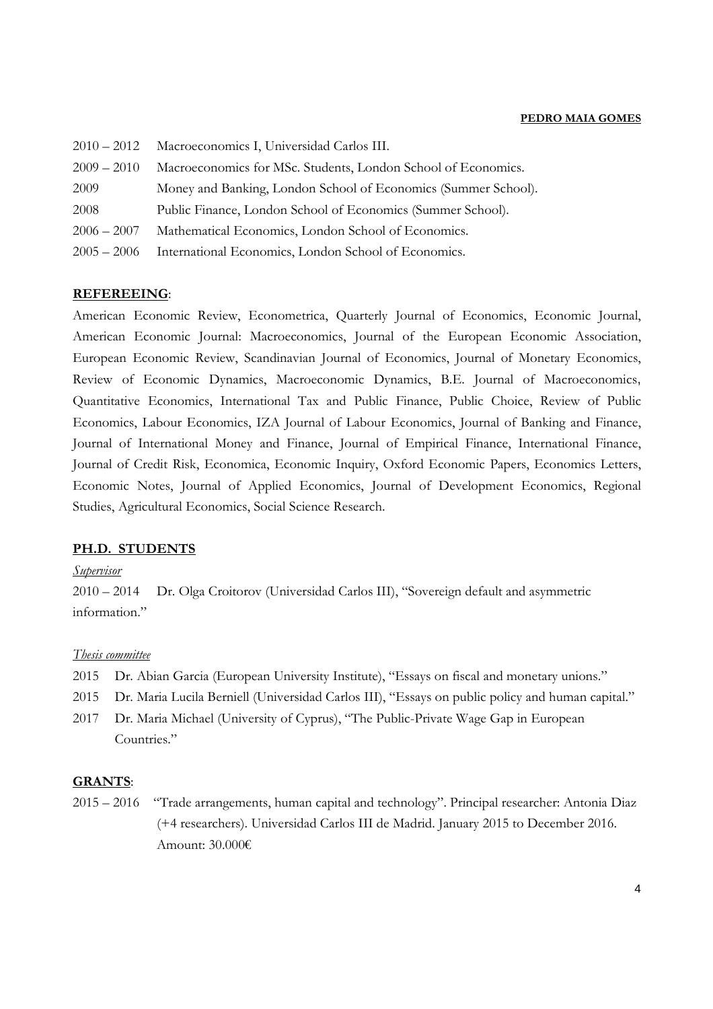| $2010 - 2012$ | Macroeconomics I, Universidad Carlos III.                      |
|---------------|----------------------------------------------------------------|
| $2009 - 2010$ | Macroeconomics for MSc. Students, London School of Economics.  |
| 2009          | Money and Banking, London School of Economics (Summer School). |
| 2008          | Public Finance, London School of Economics (Summer School).    |
| $2006 - 2007$ | Mathematical Economics, London School of Economics.            |
| $2005 - 2006$ | International Economics, London School of Economics.           |

#### **REFEREEING**:

American Economic Review, Econometrica, Quarterly Journal of Economics, Economic Journal, American Economic Journal: Macroeconomics, Journal of the European Economic Association, European Economic Review, Scandinavian Journal of Economics, Journal of Monetary Economics, Review of Economic Dynamics, Macroeconomic Dynamics, B.E. Journal of Macroeconomics, Quantitative Economics, International Tax and Public Finance, Public Choice, Review of Public Economics, Labour Economics, IZA Journal of Labour Economics, Journal of Banking and Finance, Journal of International Money and Finance, Journal of Empirical Finance, International Finance, Journal of Credit Risk, Economica, Economic Inquiry, Oxford Economic Papers, Economics Letters, Economic Notes, Journal of Applied Economics, Journal of Development Economics, Regional Studies, Agricultural Economics, Social Science Research.

#### **PH.D. STUDENTS**

#### *Supervisor*

2010 – 2014 Dr. Olga Croitorov (Universidad Carlos III), "Sovereign default and asymmetric information."

#### *Thesis committee*

- 2015 Dr. Abian Garcia (European University Institute), "Essays on fiscal and monetary unions."
- 2015 Dr. Maria Lucila Berniell (Universidad Carlos III), "Essays on public policy and human capital."
- 2017 Dr. Maria Michael (University of Cyprus), "The Public-Private Wage Gap in European Countries."

#### **GRANTS**:

2015 – 2016 "Trade arrangements, human capital and technology". Principal researcher: Antonia Diaz (+4 researchers). Universidad Carlos III de Madrid. January 2015 to December 2016. Amount: 30.000€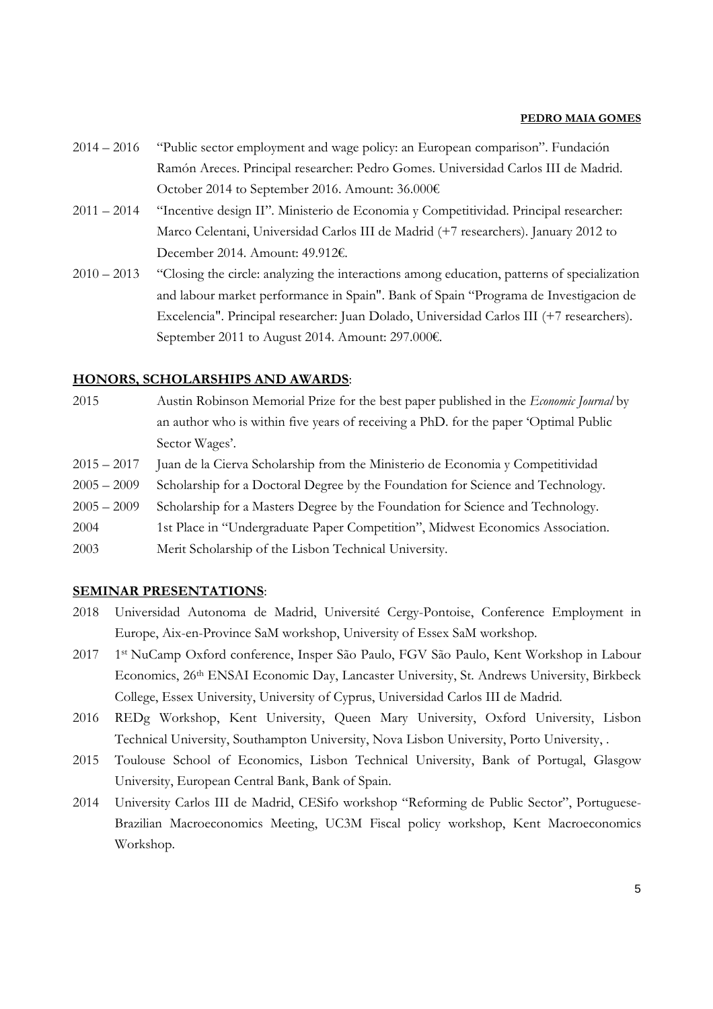- 2014 2016 "Public sector employment and wage policy: an European comparison". Fundación Ramón Areces. Principal researcher: Pedro Gomes. Universidad Carlos III de Madrid. October 2014 to September 2016. Amount: 36.000€
- 2011 2014 "Incentive design II". Ministerio de Economia y Competitividad. Principal researcher: Marco Celentani, Universidad Carlos III de Madrid (+7 researchers). January 2012 to December 2014. Amount: 49.912€.
- 2010 2013 "Closing the circle: analyzing the interactions among education, patterns of specialization and labour market performance in Spain". Bank of Spain "Programa de Investigacion de Excelencia". Principal researcher: Juan Dolado, Universidad Carlos III (+7 researchers). September 2011 to August 2014. Amount: 297.000€.

# **HONORS, SCHOLARSHIPS AND AWARDS**:

- 2015 Austin Robinson Memorial Prize for the best paper published in the *Economic Journal* by an author who is within five years of receiving a PhD. for the paper 'Optimal Public Sector Wages'.
- 2015 2017 Juan de la Cierva Scholarship from the Ministerio de Economia y Competitividad
- 2005 2009 Scholarship for a Doctoral Degree by the Foundation for Science and Technology.
- 2005 2009 Scholarship for a Masters Degree by the Foundation for Science and Technology.
- 2004 1st Place in "Undergraduate Paper Competition", Midwest Economics Association.
- 2003 Merit Scholarship of the Lisbon Technical University.

#### **SEMINAR PRESENTATIONS**:

- 2018 Universidad Autonoma de Madrid, Université Cergy-Pontoise, Conference Employment in Europe, Aix-en-Province SaM workshop, University of Essex SaM workshop.
- 2017 1st NuCamp Oxford conference, Insper São Paulo, FGV São Paulo, Kent Workshop in Labour Economics, 26th ENSAI Economic Day, Lancaster University, St. Andrews University, Birkbeck College, Essex University, University of Cyprus, Universidad Carlos III de Madrid.
- 2016 REDg Workshop, Kent University, Queen Mary University, Oxford University, Lisbon Technical University, Southampton University, Nova Lisbon University, Porto University, .
- 2015 Toulouse School of Economics, Lisbon Technical University, Bank of Portugal, Glasgow University, European Central Bank, Bank of Spain.
- 2014 University Carlos III de Madrid, CESifo workshop "Reforming de Public Sector", Portuguese-Brazilian Macroeconomics Meeting, UC3M Fiscal policy workshop, Kent Macroeconomics Workshop.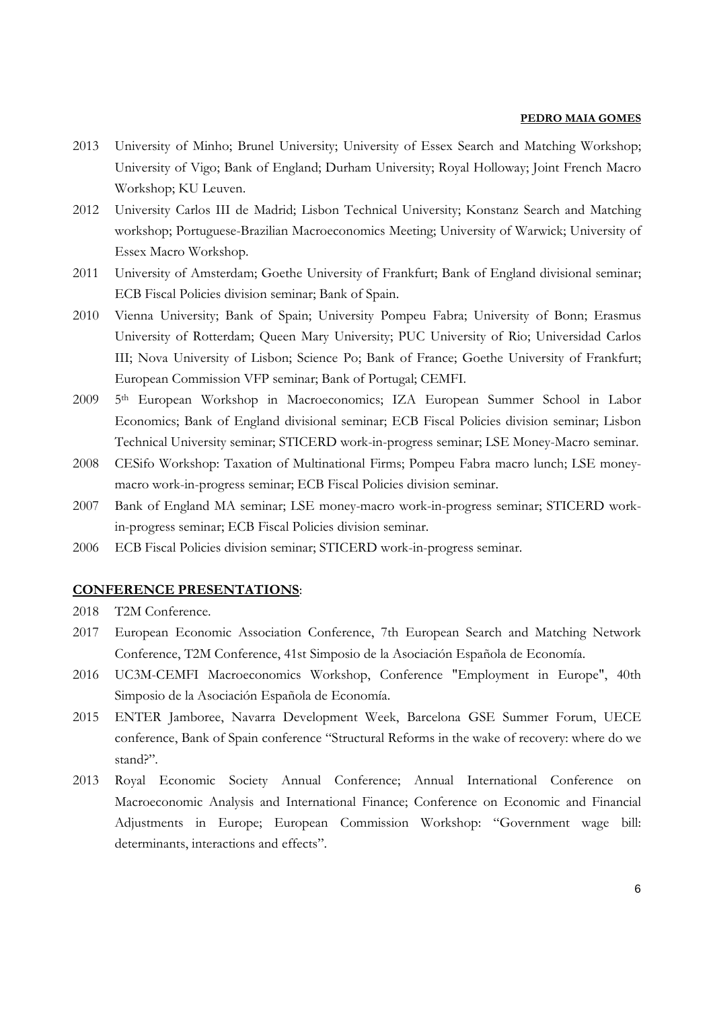- 2013 University of Minho; Brunel University; University of Essex Search and Matching Workshop; University of Vigo; Bank of England; Durham University; Royal Holloway; Joint French Macro Workshop; KU Leuven.
- 2012 University Carlos III de Madrid; Lisbon Technical University; Konstanz Search and Matching workshop; Portuguese-Brazilian Macroeconomics Meeting; University of Warwick; University of Essex Macro Workshop.
- 2011 University of Amsterdam; Goethe University of Frankfurt; Bank of England divisional seminar; ECB Fiscal Policies division seminar; Bank of Spain.
- 2010 Vienna University; Bank of Spain; University Pompeu Fabra; University of Bonn; Erasmus University of Rotterdam; Queen Mary University; PUC University of Rio; Universidad Carlos III; Nova University of Lisbon; Science Po; Bank of France; Goethe University of Frankfurt; European Commission VFP seminar; Bank of Portugal; CEMFI.
- 2009 5th European Workshop in Macroeconomics; IZA European Summer School in Labor Economics; Bank of England divisional seminar; ECB Fiscal Policies division seminar; Lisbon Technical University seminar; STICERD work-in-progress seminar; LSE Money-Macro seminar.
- 2008 CESifo Workshop: Taxation of Multinational Firms; Pompeu Fabra macro lunch; LSE moneymacro work-in-progress seminar; ECB Fiscal Policies division seminar.
- 2007 Bank of England MA seminar; LSE money-macro work-in-progress seminar; STICERD workin-progress seminar; ECB Fiscal Policies division seminar.
- 2006 ECB Fiscal Policies division seminar; STICERD work-in-progress seminar.

# **CONFERENCE PRESENTATIONS**:

- 2018 T2M Conference.
- 2017 European Economic Association Conference, 7th European Search and Matching Network Conference, T2M Conference, 41st Simposio de la Asociación Española de Economía.
- 2016 UC3M-CEMFI Macroeconomics Workshop, Conference "Employment in Europe", 40th Simposio de la Asociación Española de Economía.
- 2015 ENTER Jamboree, Navarra Development Week, Barcelona GSE Summer Forum, UECE conference, Bank of Spain conference "Structural Reforms in the wake of recovery: where do we stand?".
- 2013 Royal Economic Society Annual Conference; Annual International Conference on Macroeconomic Analysis and International Finance; Conference on Economic and Financial Adjustments in Europe; European Commission Workshop: "Government wage bill: determinants, interactions and effects".